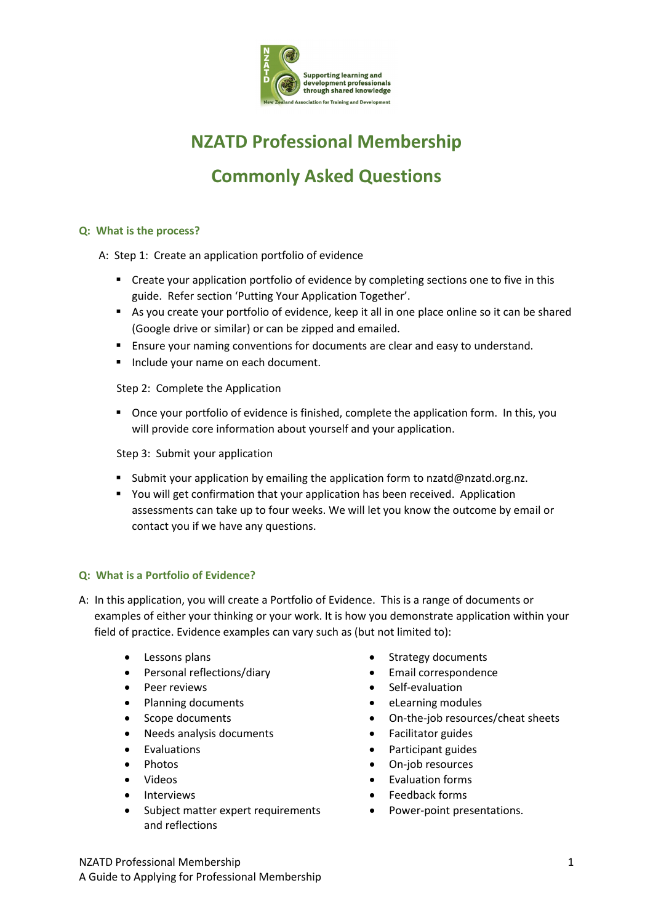

# **NZATD Professional Membership Commonly Asked Questions**

# **Q: What is the process?**

A: Step 1: Create an application portfolio of evidence

- Create your application portfolio of evidence by completing sections one to five in this guide. Refer section 'Putting Your Application Together'.
- As you create your portfolio of evidence, keep it all in one place online so it can be shared (Google drive or similar) or can be zipped and emailed.
- **Ensure your naming conventions for documents are clear and easy to understand.**
- **Include your name on each document.**

Step 2: Complete the Application

 Once your portfolio of evidence is finished, complete the application form. In this, you will provide core information about yourself and your application.

Step 3: Submit your application

- **Submit your application by emailing the application form to [nzatd@nzatd.org.nz.](mailto:nzatd@nzatd.org.nz)**
- You will get confirmation that your application has been received. Application assessments can take up to four weeks. We will let you know the outcome by email or contact you if we have any questions.

#### **Q: What is a Portfolio of Evidence?**

- A: In this application, you will create a Portfolio of Evidence. This is a range of documents or examples of either your thinking or your work. It is how you demonstrate application within your field of practice. Evidence examples can vary such as (but not limited to):
	- Lessons plans
	- Personal reflections/diary
	- Peer reviews
	- Planning documents
	- Scope documents
	- Needs analysis documents
	- Evaluations
	- Photos
	- Videos
	- **Interviews**
	- Subject matter expert requirements and reflections
- Strategy documents
- Email correspondence
- Self-evaluation
- eLearning modules
- On-the-job resources/cheat sheets
- Facilitator guides
- Participant guides
- On-job resources
- Evaluation forms
- Feedback forms
- Power-point presentations.

NZATD Professional Membership 1 A Guide to Applying for Professional Membership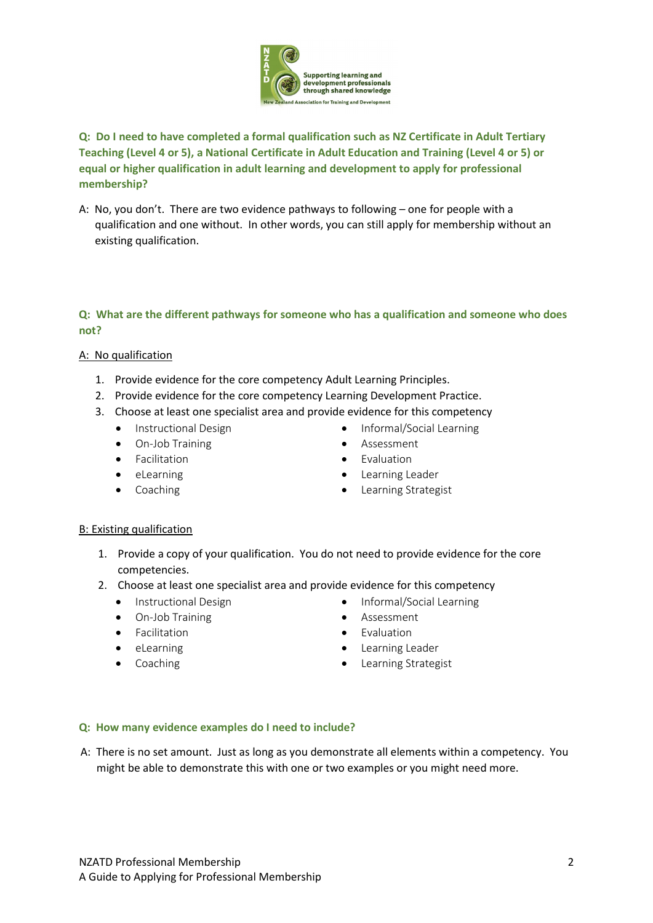

# **Q: Do I need to have completed a formal qualification such as NZ Certificate in Adult Tertiary Teaching (Level 4 or 5), a National Certificate in Adult Education and Training (Level 4 or 5) or equal or higher qualification in adult learning and development to apply for professional membership?**

A: No, you don't. There are two evidence pathways to following – one for people with a qualification and one without. In other words, you can still apply for membership without an existing qualification.

# **Q: What are the different pathways for someone who has a qualification and someone who does not?**

### A: No qualification

- 1. Provide evidence for the core competency Adult Learning Principles.
- 2. Provide evidence for the core competency Learning Development Practice.
- 3. Choose at least one specialist area and provide evidence for this competency
	- Instructional Design
	- On-Job Training
	- Facilitation
	- eLearning
	- Coaching
- Informal/Social Learning
- Assessment
- Evaluation
- Learning Leader
- Learning Strategist

#### B: Existing qualification

- 1. Provide a copy of your qualification. You do not need to provide evidence for the core competencies.
- 2. Choose at least one specialist area and provide evidence for this competency
	- Instructional Design
	- On-Job Training
	- Facilitation
	- eLearning
	- Coaching
- Informal/Social Learning
- Assessment
- Evaluation
- Learning Leader
- Learning Strategist

#### **Q: How many evidence examples do I need to include?**

A: There is no set amount. Just as long as you demonstrate all elements within a competency. You might be able to demonstrate this with one or two examples or you might need more.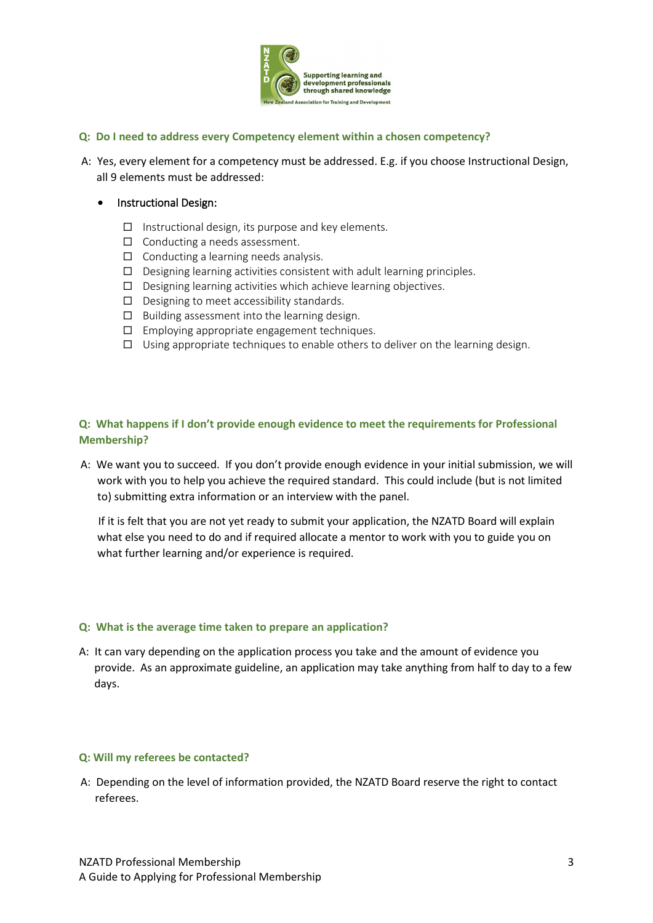

#### **Q: Do I need to address every Competency element within a chosen competency?**

A: Yes, every element for a competency must be addressed. E.g. if you choose Instructional Design, all 9 elements must be addressed:

#### • Instructional Design:

- $\Box$  Instructional design, its purpose and key elements.
- $\Box$  Conducting a needs assessment.
- $\Box$  Conducting a learning needs analysis.
- $\Box$  Designing learning activities consistent with adult learning principles.
- $\square$  Designing learning activities which achieve learning objectives.
- $\Box$  Designing to meet accessibility standards.
- $\square$  Building assessment into the learning design.
- $\Box$  Employing appropriate engagement techniques.
- $\square$  Using appropriate techniques to enable others to deliver on the learning design.

# **Q: What happens if I don't provide enough evidence to meet the requirements for Professional Membership?**

A: We want you to succeed. If you don't provide enough evidence in your initial submission, we will work with you to help you achieve the required standard. This could include (but is not limited to) submitting extra information or an interview with the panel.

If it is felt that you are not yet ready to submit your application, the NZATD Board will explain what else you need to do and if required allocate a mentor to work with you to guide you on what further learning and/or experience is required.

#### **Q: What is the average time taken to prepare an application?**

A: It can vary depending on the application process you take and the amount of evidence you provide. As an approximate guideline, an application may take anything from half to day to a few days.

#### **Q: Will my referees be contacted?**

A: Depending on the level of information provided, the NZATD Board reserve the right to contact referees.